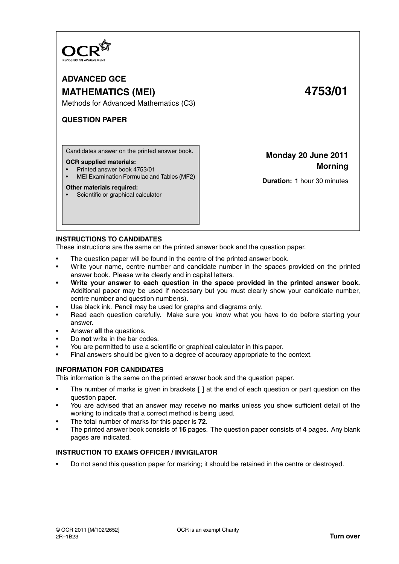

**ADVANCED GCE MATHEMATICS (MEI) 4753/01**

Methods for Advanced Mathematics (C3)

# **QUESTION PAPER**

Candidates answer on the printed answer book.

#### **OCR supplied materials:**

- Printed answer book 4753/01
- MEI Examination Formulae and Tables (MF2)

#### **Other materials required:**

• Scientific or graphical calculator

**Monday 20 June 2011 Morning**

**Duration:** 1 hour 30 minutes

## **INSTRUCTIONS TO CANDIDATES**

These instructions are the same on the printed answer book and the question paper.

- The question paper will be found in the centre of the printed answer book.
- Write your name, centre number and candidate number in the spaces provided on the printed answer book. Please write clearly and in capital letters.
- **Write your answer to each question in the space provided in the printed answer book.** Additional paper may be used if necessary but you must clearly show your candidate number, centre number and question number(s).
- Use black ink. Pencil may be used for graphs and diagrams only.
- Read each question carefully. Make sure you know what you have to do before starting your answer.
- Answer **all** the questions.
- Do **not** write in the bar codes.
- You are permitted to use a scientific or graphical calculator in this paper.
- Final answers should be given to a degree of accuracy appropriate to the context.

### **INFORMATION FOR CANDIDATES**

This information is the same on the printed answer book and the question paper.

- The number of marks is given in brackets **[ ]** at the end of each question or part question on the question paper.
- You are advised that an answer may receive **no marks** unless you show sufficient detail of the working to indicate that a correct method is being used.
- The total number of marks for this paper is **72**.
- The printed answer book consists of **16** pages. The question paper consists of **4** pages. Any blank pages are indicated.

## **INSTRUCTION TO EXAMS OFFICER / INVIGILATOR**

• Do not send this question paper for marking; it should be retained in the centre or destroyed.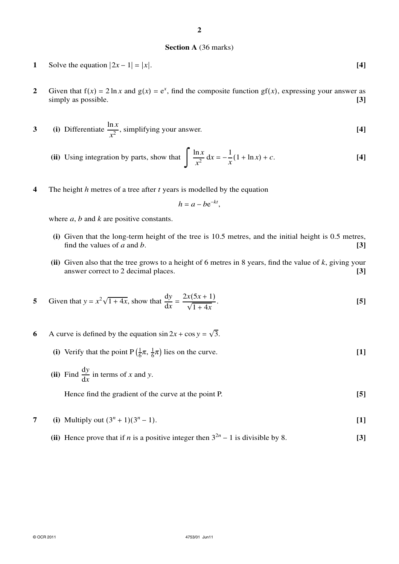#### **Section A** (36 marks)

- **2** Given that  $f(x) = 2 \ln x$  and  $g(x) = e^x$ , find the composite function  $gf(x)$ , expressing your answer as simply as possible. **[3] [3]**
- **3** (i) Differentiate  $\frac{\ln x}{2}$  $\frac{ax}{x^2}$ , simplifying your answer. **[4]**

(ii) Using integration by parts, show that 
$$
\int \frac{\ln x}{x^2} dx = -\frac{1}{x} (1 + \ln x) + c.
$$
 [4]

**4** The height *h* metres of a tree after *t* years is modelled by the equation

$$
h=a-be^{-kt},
$$

where *a*, *b* and *k* are positive constants.

- **(i)** Given that the long-term height of the tree is 10.5 metres, and the initial height is 0.5 metres, find the values of *a* and *b*.  $[3]$
- **(ii)** Given also that the tree grows to a height of 6 metres in 8 years, find the value of *k*, giving your answer correct to 2 decimal places. **[3]**

5 Given that 
$$
y = x^2 \sqrt{1 + 4x}
$$
, show that  $\frac{dy}{dx} = \frac{2x(5x + 1)}{\sqrt{1 + 4x}}$ . [5]

- **6** A curve is defined by the equation  $\sin 2x + \cos y = \sqrt{3}$ .
	- **(i)** Verify that the point  $P\left(\frac{1}{6}\right)$  $\frac{1}{6}\pi, \frac{1}{6}$  $\frac{1}{6}\pi$ ) lies on the curve. **[1]**
	- **(ii)** Find  $\frac{dy}{dx}$  in terms of *x* and *y*.

Hence find the gradient of the curve at the point P. **[5]**

7 (i) Multiply out 
$$
(3^n + 1)(3^n - 1)
$$
. [1]

(ii) Hence prove that if *n* is a positive integer then  $3^{2n} - 1$  is divisible by 8. [3]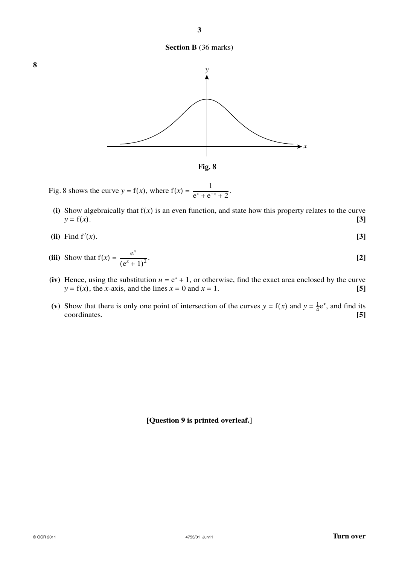## **Section B** (36 marks)



- Fig. 8 shows the curve *y* = f(*x*), where  $f(x) = \frac{1}{e^x + e^{-x} + 2}$ .
- (i) Show algebraically that  $f(x)$  is an even function, and state how this property relates to the curve  $y = f(x)$ . [3]  $y = f(x)$ . **[3]**

$$
(ii) Find f'(x). \tag{3}
$$

(iii) Show that 
$$
f(x) = \frac{e^x}{(e^x + 1)^2}
$$
. [2]

- (iv) Hence, using the substitution  $u = e^x + 1$ , or otherwise, find the exact area enclosed by the curve  $y = f(x)$ , the *x*-axis, and the lines  $x = 0$  and  $x = 1$ . **[5]**
- (v) Show that there is only one point of intersection of the curves  $y = f(x)$  and  $y = \frac{1}{4}$  $\frac{1}{4}e^x$ , and find its coordinates. **[5]**

## **[Question 9 is printed overleaf.]**

**8**